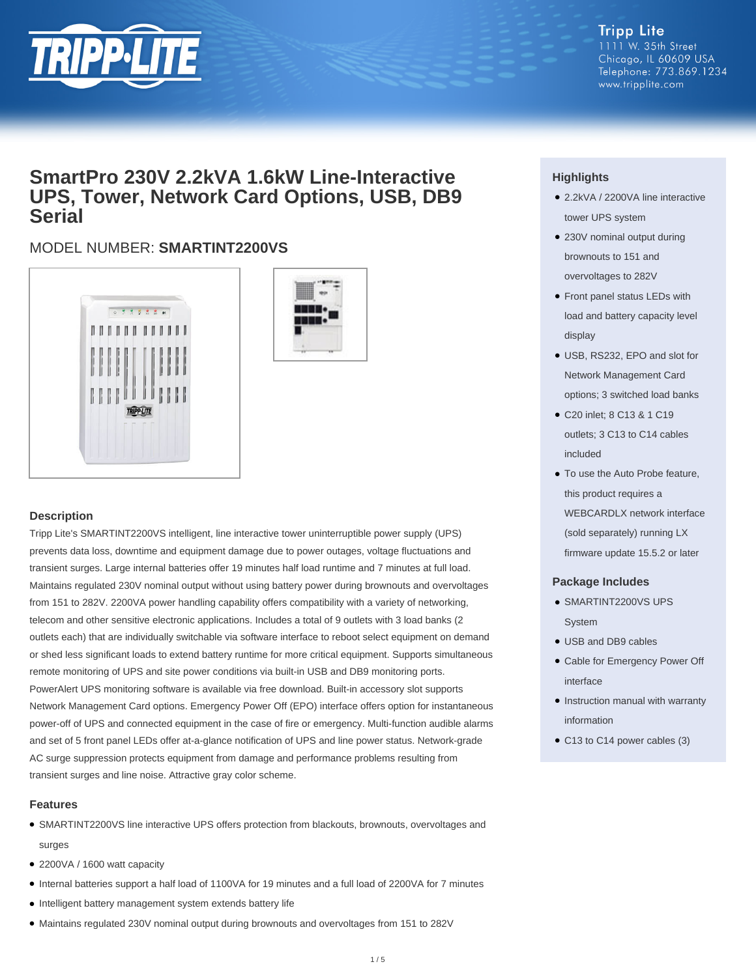

#### **Tripp Lite** 1111 W. 35th Street Chicago, IL 60609 USA Telephone: 773.869.1234 www.tripplite.com

## **SmartPro 230V 2.2kVA 1.6kW Line-Interactive UPS, Tower, Network Card Options, USB, DB9 Serial**

### MODEL NUMBER: **SMARTINT2200VS**





#### **Description**

Tripp Lite's SMARTINT2200VS intelligent, line interactive tower uninterruptible power supply (UPS) prevents data loss, downtime and equipment damage due to power outages, voltage fluctuations and transient surges. Large internal batteries offer 19 minutes half load runtime and 7 minutes at full load. Maintains regulated 230V nominal output without using battery power during brownouts and overvoltages from 151 to 282V. 2200VA power handling capability offers compatibility with a variety of networking, telecom and other sensitive electronic applications. Includes a total of 9 outlets with 3 load banks (2 outlets each) that are individually switchable via software interface to reboot select equipment on demand or shed less significant loads to extend battery runtime for more critical equipment. Supports simultaneous remote monitoring of UPS and site power conditions via built-in USB and DB9 monitoring ports. PowerAlert UPS monitoring software is available via free download. Built-in accessory slot supports Network Management Card options. Emergency Power Off (EPO) interface offers option for instantaneous power-off of UPS and connected equipment in the case of fire or emergency. Multi-function audible alarms and set of 5 front panel LEDs offer at-a-glance notification of UPS and line power status. Network-grade AC surge suppression protects equipment from damage and performance problems resulting from transient surges and line noise. Attractive gray color scheme.

#### **Features**

- SMARTINT2200VS line interactive UPS offers protection from blackouts, brownouts, overvoltages and surges
- 2200VA / 1600 watt capacity
- Internal batteries support a half load of 1100VA for 19 minutes and a full load of 2200VA for 7 minutes
- Intelligent battery management system extends battery life
- Maintains regulated 230V nominal output during brownouts and overvoltages from 151 to 282V

#### **Highlights**

- 2.2kVA / 2200VA line interactive tower UPS system
- 230V nominal output during brownouts to 151 and overvoltages to 282V
- Front panel status LEDs with load and battery capacity level display
- USB, RS232, EPO and slot for Network Management Card options; 3 switched load banks
- C20 inlet; 8 C13 & 1 C19 outlets; 3 C13 to C14 cables included
- To use the Auto Probe feature, this product requires a WEBCARDLX network interface (sold separately) running LX firmware update 15.5.2 or later

#### **Package Includes**

- SMARTINT2200VS UPS System
- USB and DB9 cables
- Cable for Emergency Power Off interface
- Instruction manual with warranty information
- C13 to C14 power cables (3)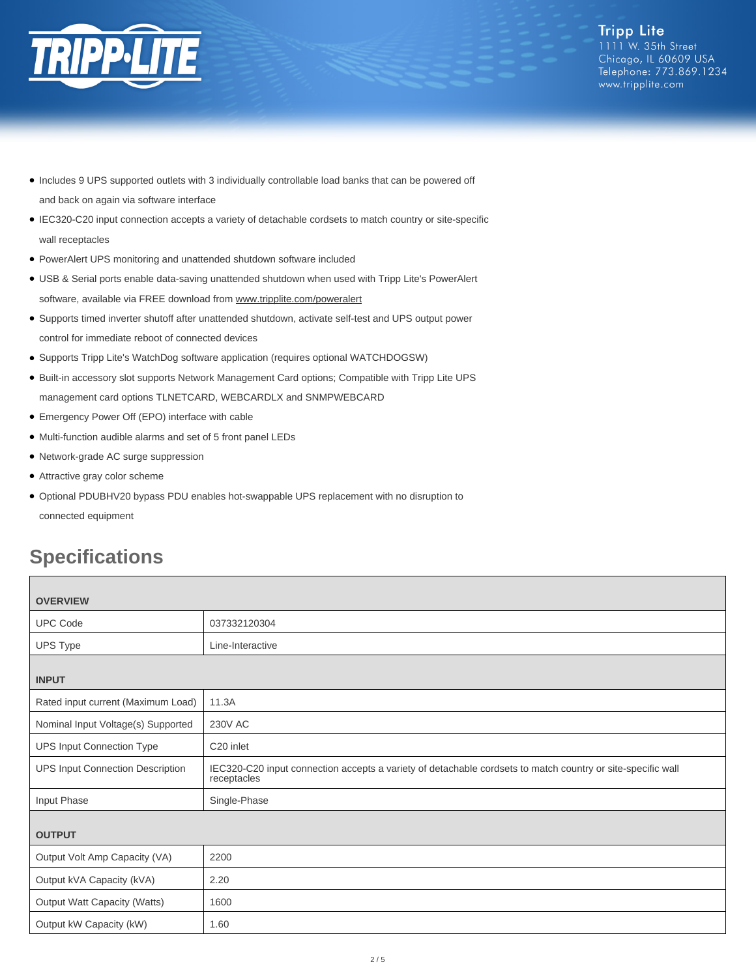

- Includes 9 UPS supported outlets with 3 individually controllable load banks that can be powered off and back on again via software interface
- IEC320-C20 input connection accepts a variety of detachable cordsets to match country or site-specific wall receptacles
- PowerAlert UPS monitoring and unattended shutdown software included
- USB & Serial ports enable data-saving unattended shutdown when used with Tripp Lite's PowerAlert software, available via FREE download from [www.tripplite.com/poweralert](http://www.tripplite.com/poweralert)
- Supports timed inverter shutoff after unattended shutdown, activate self-test and UPS output power control for immediate reboot of connected devices
- Supports Tripp Lite's WatchDog software application (requires optional WATCHDOGSW)
- Built-in accessory slot supports Network Management Card options; Compatible with Tripp Lite UPS management card options TLNETCARD, WEBCARDLX and SNMPWEBCARD
- Emergency Power Off (EPO) interface with cable
- Multi-function audible alarms and set of 5 front panel LEDs
- Network-grade AC surge suppression
- Attractive gray color scheme
- Optional PDUBHV20 bypass PDU enables hot-swappable UPS replacement with no disruption to connected equipment

# **Specifications**

| <b>OVERVIEW</b>                         |                                                                                                                            |  |  |
|-----------------------------------------|----------------------------------------------------------------------------------------------------------------------------|--|--|
| <b>UPC Code</b>                         | 037332120304                                                                                                               |  |  |
| UPS Type                                | Line-Interactive                                                                                                           |  |  |
|                                         |                                                                                                                            |  |  |
| <b>INPUT</b>                            |                                                                                                                            |  |  |
| Rated input current (Maximum Load)      | 11.3A                                                                                                                      |  |  |
| Nominal Input Voltage(s) Supported      | <b>230V AC</b>                                                                                                             |  |  |
| <b>UPS Input Connection Type</b>        | C <sub>20</sub> inlet                                                                                                      |  |  |
| <b>UPS Input Connection Description</b> | IEC320-C20 input connection accepts a variety of detachable cordsets to match country or site-specific wall<br>receptacles |  |  |
| Input Phase                             | Single-Phase                                                                                                               |  |  |
|                                         |                                                                                                                            |  |  |
| <b>OUTPUT</b>                           |                                                                                                                            |  |  |
| Output Volt Amp Capacity (VA)           | 2200                                                                                                                       |  |  |
| Output kVA Capacity (kVA)               | 2.20                                                                                                                       |  |  |
| <b>Output Watt Capacity (Watts)</b>     | 1600                                                                                                                       |  |  |
| Output kW Capacity (kW)                 | 1.60                                                                                                                       |  |  |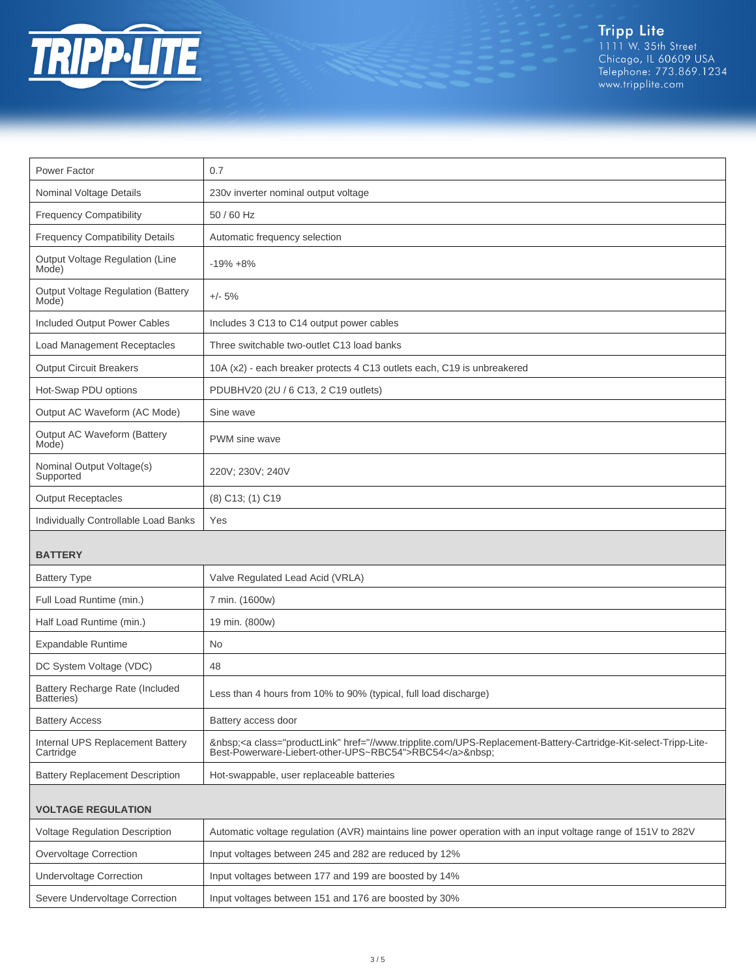

Tripp Lite<br>1111 W. 35th Street<br>Chicago, IL 60609 USA<br>Telephone: 773.869.1234<br>www.tripplite.com

| Power Factor                                       | 0.7                                                                                                                                                                  |
|----------------------------------------------------|----------------------------------------------------------------------------------------------------------------------------------------------------------------------|
| Nominal Voltage Details                            | 230v inverter nominal output voltage                                                                                                                                 |
| <b>Frequency Compatibility</b>                     | 50 / 60 Hz                                                                                                                                                           |
| <b>Frequency Compatibility Details</b>             | Automatic frequency selection                                                                                                                                        |
| Output Voltage Regulation (Line<br>Mode)           | $-19\% + 8\%$                                                                                                                                                        |
| <b>Output Voltage Regulation (Battery</b><br>Mode) | $+/- 5%$                                                                                                                                                             |
| Included Output Power Cables                       | Includes 3 C13 to C14 output power cables                                                                                                                            |
| Load Management Receptacles                        | Three switchable two-outlet C13 load banks                                                                                                                           |
| <b>Output Circuit Breakers</b>                     | 10A (x2) - each breaker protects 4 C13 outlets each, C19 is unbreakered                                                                                              |
| Hot-Swap PDU options                               | PDUBHV20 (2U / 6 C13, 2 C19 outlets)                                                                                                                                 |
| Output AC Waveform (AC Mode)                       | Sine wave                                                                                                                                                            |
| Output AC Waveform (Battery<br>Mode)               | PWM sine wave                                                                                                                                                        |
| Nominal Output Voltage(s)<br>Supported             | 220V; 230V; 240V                                                                                                                                                     |
| <b>Output Receptacles</b>                          | (8) C13; (1) C19                                                                                                                                                     |
| Individually Controllable Load Banks               | Yes                                                                                                                                                                  |
|                                                    |                                                                                                                                                                      |
| <b>BATTERY</b>                                     |                                                                                                                                                                      |
| <b>Battery Type</b>                                | Valve Regulated Lead Acid (VRLA)                                                                                                                                     |
| Full Load Runtime (min.)                           | 7 min. (1600w)                                                                                                                                                       |
| Half Load Runtime (min.)                           | 19 min. (800w)                                                                                                                                                       |
| Expandable Runtime                                 | <b>No</b>                                                                                                                                                            |
| DC System Voltage (VDC)                            | 48                                                                                                                                                                   |
| Battery Recharge Rate (Included<br>Batteries)      | Less than 4 hours from 10% to 90% (typical, full load discharge)                                                                                                     |
| <b>Battery Access</b>                              | Battery access door                                                                                                                                                  |
| Internal UPS Replacement Battery<br>Cartridge      | <a class="productLink" href="//www.tripplite.com/UPS-Replacement-Battery-Cartridge-Kit-select-Tripp-Lite-&lt;br&gt;Best-Powerware-Liebert-other-UPS~RBC54">RBC54</a> |
| <b>Battery Replacement Description</b>             | Hot-swappable, user replaceable batteries                                                                                                                            |
| <b>VOLTAGE REGULATION</b>                          |                                                                                                                                                                      |
| <b>Voltage Regulation Description</b>              | Automatic voltage regulation (AVR) maintains line power operation with an input voltage range of 151V to 282V                                                        |
| Overvoltage Correction                             | Input voltages between 245 and 282 are reduced by 12%                                                                                                                |
| <b>Undervoltage Correction</b>                     | Input voltages between 177 and 199 are boosted by 14%                                                                                                                |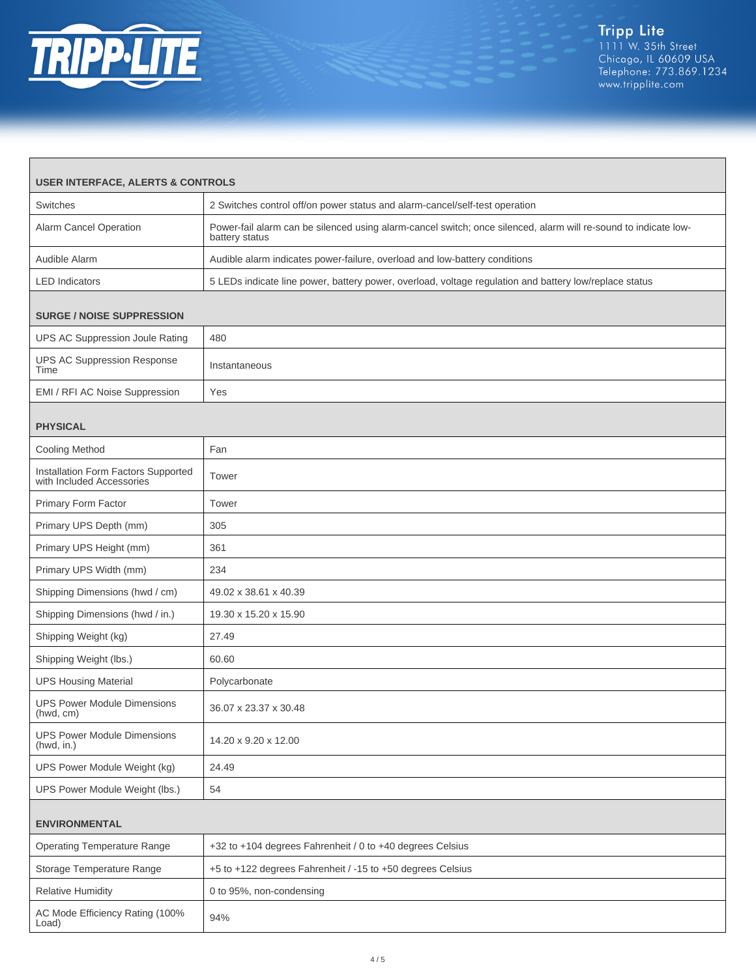

Г

| <b>USER INTERFACE, ALERTS &amp; CONTROLS</b>                     |                                                                                                                                   |  |  |
|------------------------------------------------------------------|-----------------------------------------------------------------------------------------------------------------------------------|--|--|
| Switches                                                         | 2 Switches control off/on power status and alarm-cancel/self-test operation                                                       |  |  |
| Alarm Cancel Operation                                           | Power-fail alarm can be silenced using alarm-cancel switch; once silenced, alarm will re-sound to indicate low-<br>battery status |  |  |
| Audible Alarm                                                    | Audible alarm indicates power-failure, overload and low-battery conditions                                                        |  |  |
| <b>LED</b> Indicators                                            | 5 LEDs indicate line power, battery power, overload, voltage regulation and battery low/replace status                            |  |  |
|                                                                  |                                                                                                                                   |  |  |
| <b>SURGE / NOISE SUPPRESSION</b>                                 |                                                                                                                                   |  |  |
| UPS AC Suppression Joule Rating                                  | 480                                                                                                                               |  |  |
| <b>UPS AC Suppression Response</b><br>Time                       | Instantaneous                                                                                                                     |  |  |
| EMI / RFI AC Noise Suppression                                   | Yes                                                                                                                               |  |  |
| <b>PHYSICAL</b>                                                  |                                                                                                                                   |  |  |
| <b>Cooling Method</b>                                            | Fan                                                                                                                               |  |  |
| Installation Form Factors Supported<br>with Included Accessories | Tower                                                                                                                             |  |  |
| Primary Form Factor                                              | Tower                                                                                                                             |  |  |
| Primary UPS Depth (mm)                                           | 305                                                                                                                               |  |  |
| Primary UPS Height (mm)                                          | 361                                                                                                                               |  |  |
| Primary UPS Width (mm)                                           | 234                                                                                                                               |  |  |
| Shipping Dimensions (hwd / cm)                                   | 49.02 x 38.61 x 40.39                                                                                                             |  |  |
| Shipping Dimensions (hwd / in.)                                  | 19.30 x 15.20 x 15.90                                                                                                             |  |  |
| Shipping Weight (kg)                                             | 27.49                                                                                                                             |  |  |
| Shipping Weight (lbs.)                                           | 60.60                                                                                                                             |  |  |
| <b>UPS Housing Material</b>                                      | Polycarbonate                                                                                                                     |  |  |
| <b>UPS Power Module Dimensions</b><br>(hwd, cm)                  | 36.07 x 23.37 x 30.48                                                                                                             |  |  |
| <b>UPS Power Module Dimensions</b><br>(hwd, in.)                 | 14.20 x 9.20 x 12.00                                                                                                              |  |  |
| UPS Power Module Weight (kg)                                     | 24.49                                                                                                                             |  |  |
| UPS Power Module Weight (lbs.)                                   | 54                                                                                                                                |  |  |
| <b>ENVIRONMENTAL</b>                                             |                                                                                                                                   |  |  |
| <b>Operating Temperature Range</b>                               | +32 to +104 degrees Fahrenheit / 0 to +40 degrees Celsius                                                                         |  |  |
| Storage Temperature Range                                        | +5 to +122 degrees Fahrenheit / -15 to +50 degrees Celsius                                                                        |  |  |
| <b>Relative Humidity</b>                                         | 0 to 95%, non-condensing                                                                                                          |  |  |
| AC Mode Efficiency Rating (100%<br>Load)                         | 94%                                                                                                                               |  |  |